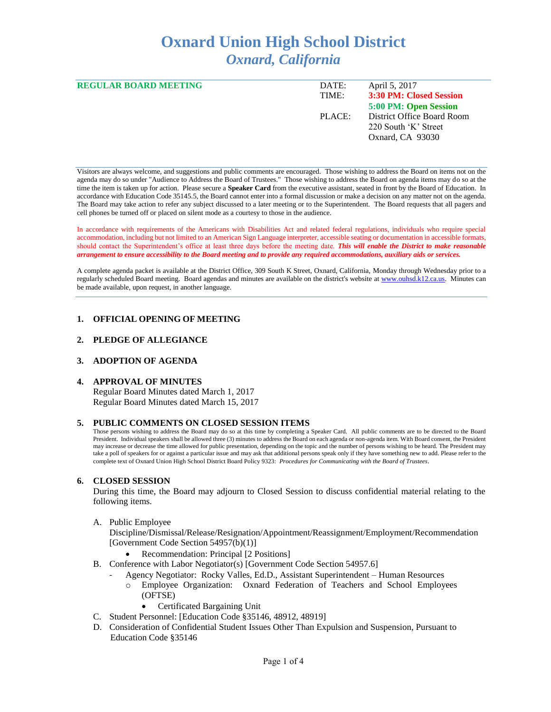# **Oxnard Union High School District** *Oxnard, California*

| <b>REGULAR BOARD MEETING</b> | DATE:  | April 5, 2017              |
|------------------------------|--------|----------------------------|
|                              | TIME:  | 3:30 PM: Closed Session    |
|                              |        | 5:00 PM: Open Session      |
|                              | PLACE: | District Office Board Room |
|                              |        | 220 South 'K' Street       |
|                              |        | Oxnard, CA 93030           |
|                              |        |                            |

Visitors are always welcome, and suggestions and public comments are encouraged. Those wishing to address the Board on items not on the agenda may do so under "Audience to Address the Board of Trustees." Those wishing to address the Board on agenda items may do so at the time the item is taken up for action. Please secure a **Speaker Card** from the executive assistant, seated in front by the Board of Education. In accordance with Education Code 35145.5, the Board cannot enter into a formal discussion or make a decision on any matter not on the agenda. The Board may take action to refer any subject discussed to a later meeting or to the Superintendent. The Board requests that all pagers and cell phones be turned off or placed on silent mode as a courtesy to those in the audience.

In accordance with requirements of the Americans with Disabilities Act and related federal regulations, individuals who require special accommodation, including but not limited to an American Sign Language interpreter, accessible seating or documentation in accessible formats, should contact the Superintendent's office at least three days before the meeting date. *This will enable the District to make reasonable arrangement to ensure accessibility to the Board meeting and to provide any required accommodations, auxiliary aids or services.* 

A complete agenda packet is available at the District Office, 309 South K Street, Oxnard, California, Monday through Wednesday prior to a regularly scheduled Board meeting. Board agendas and minutes are available on the district's website a[t www.ouhsd.k12.ca.us.](http://www.ouhsd.k12.ca.us/)Minutes can be made available, upon request, in another language.

## **1. OFFICIAL OPENING OF MEETING**

#### **2. PLEDGE OF ALLEGIANCE**

## **3. ADOPTION OF AGENDA**

#### **4. APPROVAL OF MINUTES**

Regular Board Minutes dated March 1, 2017 Regular Board Minutes dated March 15, 2017

#### **5. PUBLIC COMMENTS ON CLOSED SESSION ITEMS**

Those persons wishing to address the Board may do so at this time by completing a Speaker Card. All public comments are to be directed to the Board President. Individual speakers shall be allowed three (3) minutes to address the Board on each agenda or non-agenda item. With Board consent, the President may increase or decrease the time allowed for public presentation, depending on the topic and the number of persons wishing to be heard. The President may take a poll of speakers for or against a particular issue and may ask that additional persons speak only if they have something new to add. Please refer to the complete text of Oxnard Union High School District Board Policy 9323: *Procedures for Communicating with the Board of Trustees*.

#### **6. CLOSED SESSION**

During this time, the Board may adjourn to Closed Session to discuss confidential material relating to the following items.

A. Public Employee

Discipline/Dismissal/Release/Resignation/Appointment/Reassignment/Employment/Recommendation [Government Code Section 54957(b)(1)]

- Recommendation: Principal [2 Positions]
- B. Conference with Labor Negotiator(s) [Government Code Section 54957.6]
	- Agency Negotiator: Rocky Valles, Ed.D., Assistant Superintendent Human Resources
		- o Employee Organization: Oxnard Federation of Teachers and School Employees (OFTSE)
			- Certificated Bargaining Unit
- C. Student Personnel: [Education Code §35146, 48912, 48919]
- D. Consideration of Confidential Student Issues Other Than Expulsion and Suspension, Pursuant to Education Code §35146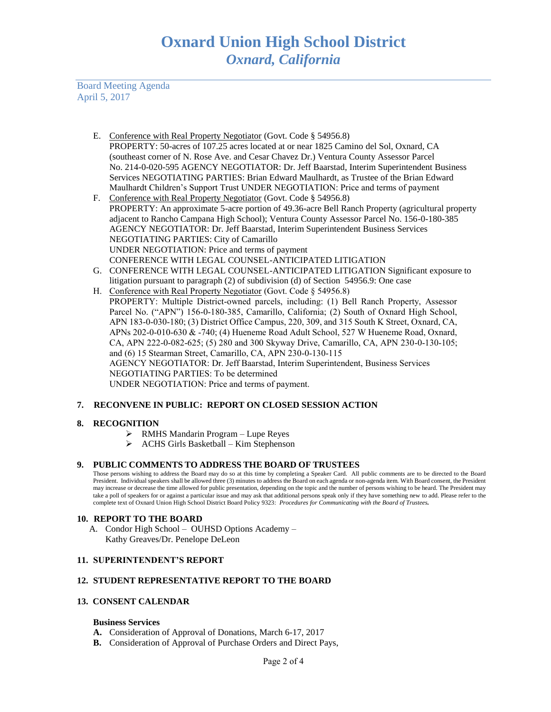Board Meeting Agenda April 5, 2017

- E. Conference with Real Property Negotiator (Govt. Code § 54956.8) PROPERTY: 50-acres of 107.25 acres located at or near 1825 Camino del Sol, Oxnard, CA (southeast corner of N. Rose Ave. and Cesar Chavez Dr.) Ventura County Assessor Parcel No. 214-0-020-595 AGENCY NEGOTIATOR: Dr. Jeff Baarstad, Interim Superintendent Business Services NEGOTIATING PARTIES: Brian Edward Maulhardt, as Trustee of the Brian Edward Maulhardt Children's Support Trust UNDER NEGOTIATION: Price and terms of payment
- F. Conference with Real Property Negotiator (Govt. Code § 54956.8) PROPERTY: An approximate 5-acre portion of 49.36-acre Bell Ranch Property (agricultural property adjacent to Rancho Campana High School); Ventura County Assessor Parcel No. 156-0-180-385 AGENCY NEGOTIATOR: Dr. Jeff Baarstad, Interim Superintendent Business Services NEGOTIATING PARTIES: City of Camarillo UNDER NEGOTIATION: Price and terms of payment CONFERENCE WITH LEGAL COUNSEL-ANTICIPATED LITIGATION
- G. CONFERENCE WITH LEGAL COUNSEL-ANTICIPATED LITIGATION Significant exposure to litigation pursuant to paragraph (2) of subdivision (d) of Section 54956.9: One case
- H. Conference with Real Property Negotiator (Govt. Code § 54956.8) PROPERTY: Multiple District-owned parcels, including: (1) Bell Ranch Property, Assessor Parcel No. ("APN") 156-0-180-385, Camarillo, California; (2) South of Oxnard High School, APN 183-0-030-180; (3) District Office Campus, 220, 309, and 315 South K Street, Oxnard, CA, APNs 202-0-010-630 & -740; (4) Hueneme Road Adult School, 527 W Hueneme Road, Oxnard, CA, APN 222-0-082-625; (5) 280 and 300 Skyway Drive, Camarillo, CA, APN 230-0-130-105; and (6) 15 Stearman Street, Camarillo, CA, APN 230-0-130-115 AGENCY NEGOTIATOR: Dr. Jeff Baarstad, Interim Superintendent, Business Services NEGOTIATING PARTIES: To be determined UNDER NEGOTIATION: Price and terms of payment.

# **7. RECONVENE IN PUBLIC: REPORT ON CLOSED SESSION ACTION**

## **8. RECOGNITION**

- RMHS Mandarin Program Lupe Reyes
- ACHS Girls Basketball Kim Stephenson

## **9. PUBLIC COMMENTS TO ADDRESS THE BOARD OF TRUSTEES**

Those persons wishing to address the Board may do so at this time by completing a Speaker Card. All public comments are to be directed to the Board President. Individual speakers shall be allowed three (3) minutes to address the Board on each agenda or non-agenda item. With Board consent, the President may increase or decrease the time allowed for public presentation, depending on the topic and the number of persons wishing to be heard. The President may take a poll of speakers for or against a particular issue and may ask that additional persons speak only if they have something new to add. Please refer to the complete text of Oxnard Union High School District Board Policy 9323: *Procedures for Communicating with the Board of Trustees.*

## **10. REPORT TO THE BOARD**

A. Condor High School – OUHSD Options Academy – Kathy Greaves/Dr. Penelope DeLeon

## **11. SUPERINTENDENT'S REPORT**

# **12. STUDENT REPRESENTATIVE REPORT TO THE BOARD**

## **13. CONSENT CALENDAR**

## **Business Services**

- **A.** Consideration of Approval of Donations, March 6-17, 2017
- **B.** Consideration of Approval of Purchase Orders and Direct Pays,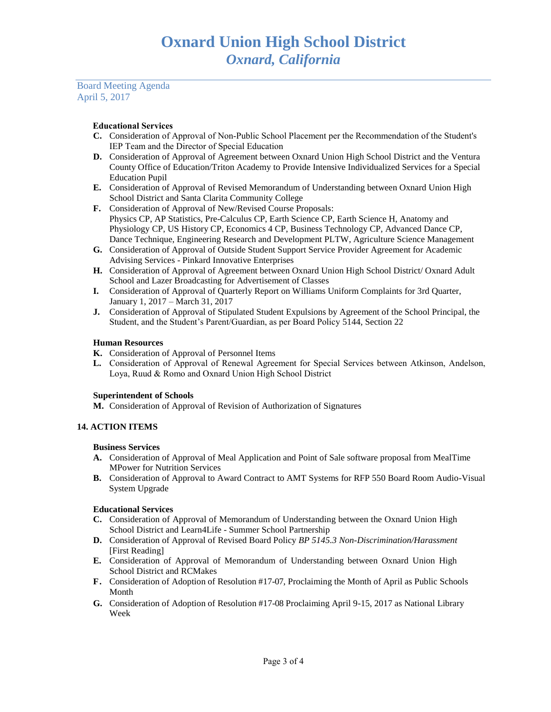Board Meeting Agenda April 5, 2017

# **Educational Services**

- **C.** Consideration of Approval of Non-Public School Placement per the Recommendation of the Student's IEP Team and the Director of Special Education
- **D.** Consideration of Approval of Agreement between Oxnard Union High School District and the Ventura County Office of Education/Triton Academy to Provide Intensive Individualized Services for a Special Education Pupil
- **E.** Consideration of Approval of Revised Memorandum of Understanding between Oxnard Union High School District and Santa Clarita Community College
- **F.** Consideration of Approval of New/Revised Course Proposals: Physics CP, AP Statistics, Pre-Calculus CP, Earth Science CP, Earth Science H, Anatomy and Physiology CP, US History CP, Economics 4 CP, Business Technology CP, Advanced Dance CP, Dance Technique, Engineering Research and Development PLTW, Agriculture Science Management
- **G.** Consideration of Approval of Outside Student Support Service Provider Agreement for Academic Advising Services - Pinkard Innovative Enterprises
- **H.** Consideration of Approval of Agreement between Oxnard Union High School District/ Oxnard Adult School and Lazer Broadcasting for Advertisement of Classes
- **I.** Consideration of Approval of Quarterly Report on Williams Uniform Complaints for 3rd Quarter, January 1, 2017 – March 31, 2017
- **J.** Consideration of Approval of Stipulated Student Expulsions by Agreement of the School Principal, the Student, and the Student's Parent/Guardian, as per Board Policy 5144, Section 22

# **Human Resources**

- **K.** Consideration of Approval of Personnel Items
- **L.** Consideration of Approval of Renewal Agreement for Special Services between Atkinson, Andelson, Loya, Ruud & Romo and Oxnard Union High School District

## **Superintendent of Schools**

**M.** Consideration of Approval of Revision of Authorization of Signatures

# **14. ACTION ITEMS**

## **Business Services**

- **A.** Consideration of Approval of Meal Application and Point of Sale software proposal from MealTime MPower for Nutrition Services
- **B.** Consideration of Approval to Award Contract to AMT Systems for RFP 550 Board Room Audio-Visual System Upgrade

## **Educational Services**

- **C.** Consideration of Approval of Memorandum of Understanding between the Oxnard Union High School District and Learn4Life - Summer School Partnership
- **D.** Consideration of Approval of Revised Board Policy *BP 5145.3 Non-Discrimination/Harassment* [First Reading]
- **E.** Consideration of Approval of Memorandum of Understanding between Oxnard Union High School District and RCMakes
- **F.** Consideration of Adoption of Resolution #17-07, Proclaiming the Month of April as Public Schools Month
- **G.** Consideration of Adoption of Resolution #17-08 Proclaiming April 9-15, 2017 as National Library Week